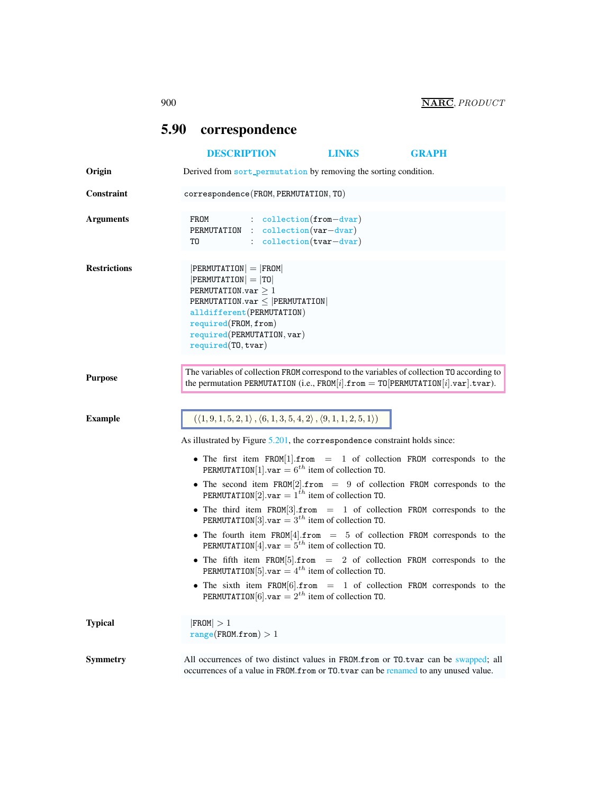## <span id="page-0-0"></span>5.90 correspondence [DESCRIPTION](#page-0-0) [LINKS](#page-1-0) [GRAPH](#page-2-0) Origin Derived from sort\_permutation by removing the sorting condition. Constraint correspondence(FROM, PERMUTATION, TO) Arguments FROM : collection(from−dvar) PERMUTATION : collection(var−dvar) T0 : collection(tvar-dvar) Restrictions |PERMUTATION | = |FROM|  $|PERMUTATION| = |TO|$ PERMUTATION.var  $\geq 1$ PERMUTATION.var ≤ |PERMUTATION| alldifferent(PERMUTATION) required(FROM, from) required(PERMUTATION, var) required(TO, tvar) The variables of collection FROM correspond to the variables of collection TO according to the variables of collection TO according to the variables of collection TO according to the property of the property of the variabl the permutation PERMUTATION (i.e., FROM[i].from  $=$  TO[PERMUTATION[i].var].tvar). Example  $((1, 9, 1, 5, 2, 1), (6, 1, 3, 5, 4, 2), (9, 1, 1, 2, 5, 1))$ As illustrated by Figure [5.201,](#page-1-1) the correspondence constraint holds since: • The first item FROM[1].from = 1 of collection FROM corresponds to the PERMUTATION[1].var =  $6^{th}$  item of collection TO. • The second item  $FROM[2].$  from  $= 9$  of collection FROM corresponds to the PERMUTATION[2].var =  $1^{th}$  item of collection TO. • The third item FROM[3].from = 1 of collection FROM corresponds to the

- <code>PERMUTATION[3].var</code>  $=$   $3^{th}$  item of collection T0.  $\,$ • The fourth item FROM[4].from  $= 5$  of collection FROM corresponds to the
	- PERMUTATION[4].var =  $5^{th}$  item of collection TO.
- The fifth item FROM[5].from  $= 2$  of collection FROM corresponds to the PERMUTATION[5].var =  $4^{th}$  item of collection TO.
- The sixth item FROM[6].from = 1 of collection FROM corresponds to the PERMUTATION  $[6]$ . var =  $2^{th}$  item of collection TO.

| Typical  | $ $ FROM $ >1$<br>range(FROM.from) > 1                                                                                                                                     |
|----------|----------------------------------------------------------------------------------------------------------------------------------------------------------------------------|
| Svmmetrv | All occurrences of two distinct values in FROM.from or TO.tvar can be swapped; all<br>occurrences of a value in FROM. from or TO. tvar can be renamed to any unused value. |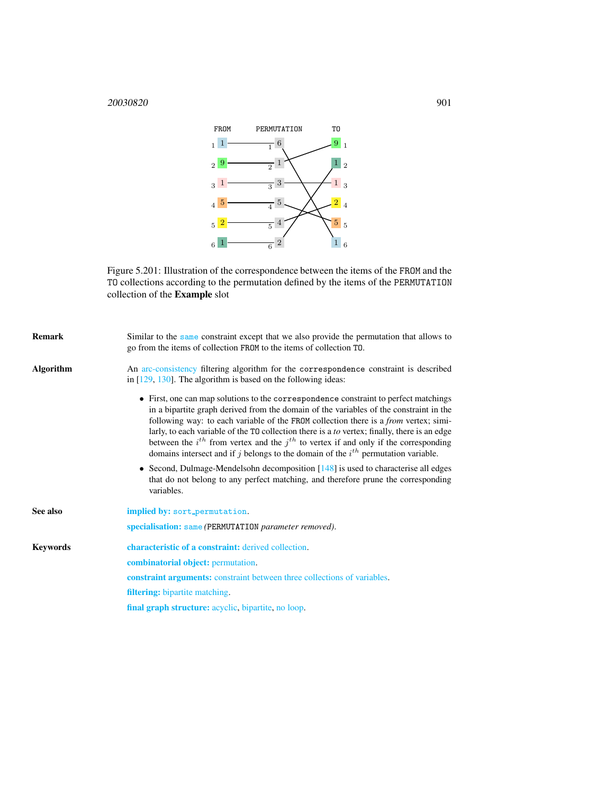## <sup>20030820</sup> 901



<span id="page-1-1"></span>Figure 5.201: Illustration of the correspondence between the items of the FROM and the TO collections according to the permutation defined by the items of the PERMUTATION collection of the Example slot

<span id="page-1-0"></span>

| <b>Remark</b>    | Similar to the same constraint except that we also provide the permutation that allows to<br>go from the items of collection FROM to the items of collection TO.                                                                                                                                                                                                                                                                                                                                                                                                     |
|------------------|----------------------------------------------------------------------------------------------------------------------------------------------------------------------------------------------------------------------------------------------------------------------------------------------------------------------------------------------------------------------------------------------------------------------------------------------------------------------------------------------------------------------------------------------------------------------|
| <b>Algorithm</b> | An arc-consistency filtering algorithm for the correspondence constraint is described<br>in $[129, 130]$ . The algorithm is based on the following ideas:                                                                                                                                                                                                                                                                                                                                                                                                            |
|                  | • First, one can map solutions to the correspondence constraint to perfect matchings<br>in a bipartite graph derived from the domain of the variables of the constraint in the<br>following way: to each variable of the FROM collection there is a <i>from</i> vertex; simi-<br>larly, to each variable of the T0 collection there is a to vertex; finally, there is an edge<br>between the $i^{th}$ from vertex and the $j^{th}$ to vertex if and only if the corresponding<br>domains intersect and if j belongs to the domain of the $ith$ permutation variable. |
|                  | • Second, Dulmage-Mendelsohn decomposition $[148]$ is used to characterise all edges<br>that do not belong to any perfect matching, and therefore prune the corresponding<br>variables.                                                                                                                                                                                                                                                                                                                                                                              |
| See also         | implied by: sort_permutation.                                                                                                                                                                                                                                                                                                                                                                                                                                                                                                                                        |
|                  | specialisation: same (PERMUTATION parameter removed).                                                                                                                                                                                                                                                                                                                                                                                                                                                                                                                |
| <b>Keywords</b>  | characteristic of a constraint: derived collection.                                                                                                                                                                                                                                                                                                                                                                                                                                                                                                                  |
|                  | <b>combinatorial object:</b> permutation.                                                                                                                                                                                                                                                                                                                                                                                                                                                                                                                            |
|                  | <b>constraint arguments:</b> constraint between three collections of variables.                                                                                                                                                                                                                                                                                                                                                                                                                                                                                      |
|                  | <b>filtering:</b> bipartite matching.                                                                                                                                                                                                                                                                                                                                                                                                                                                                                                                                |
|                  | final graph structure: acyclic, bipartite, no loop.                                                                                                                                                                                                                                                                                                                                                                                                                                                                                                                  |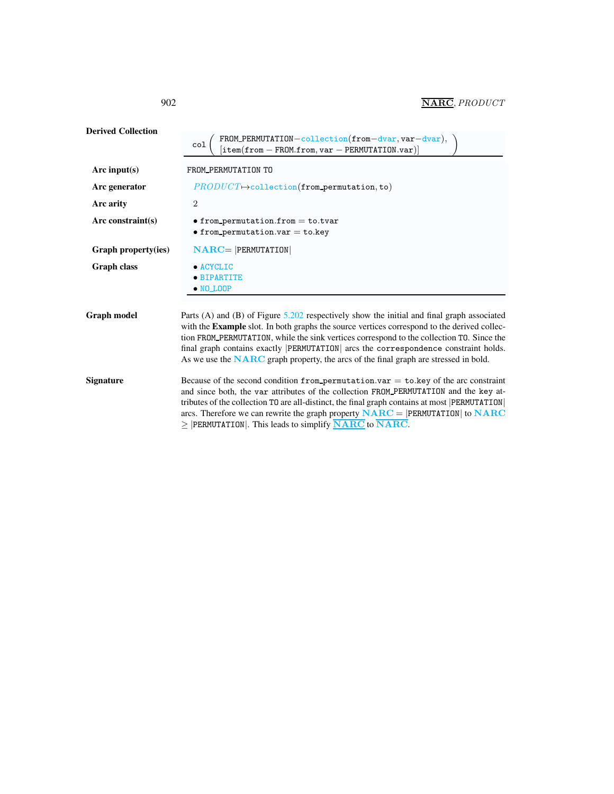Derived Collection col FROM\_PERMUTATION-collection(from-dvar, var-dvar), )<br>[item(from - FROM.from, var - PERMUTATION.var)] ) Arc input(s) FROM\_PERMUTATION TO Arc generator  $PRODUCT \rightarrow collection(from\_permutation, to)$ Arc arity 2 Arc constraint(s) • from permutation.from = to.tvar  $\bullet$  from\_permutation.var = to.key Graph property(ies) NARC= |PERMUTATION| Graph class • ACYCLIC • BIPARTITE • NO LOOP Graph model Parts (A) and (B) of Figure [5.202](#page-3-0) respectively show the initial and final graph associated with the Example slot. In both graphs the source vertices correspond to the derived collection FROM PERMUTATION, while the sink vertices correspond to the collection TO. Since the final graph contains exactly |PERMUTATION| arcs the correspondence constraint holds. As we use the **NARC** graph property, the arcs of the final graph are stressed in bold. Signature Because of the second condition from permutation.var = to.key of the arc constraint and since both, the var attributes of the collection FROM PERMUTATION and the key attributes of the collection TO are all-distinct, the final graph contains at most |PERMUTATION| arcs. Therefore we can rewrite the graph property  $NARC = |PERMUTATION|$  to  $NARC$  $\geq$  |PERMUTATION|. This leads to simplify  $\overline{\text{NARC}}$  to  $\overline{\text{NARC}}$ .

<span id="page-2-0"></span>